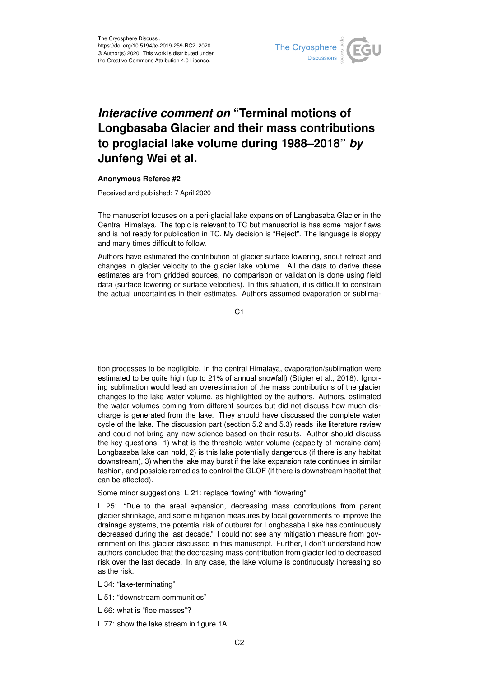

## *Interactive comment on* **"Terminal motions of Longbasaba Glacier and their mass contributions to proglacial lake volume during 1988–2018"** *by* **Junfeng Wei et al.**

## **Anonymous Referee #2**

Received and published: 7 April 2020

The manuscript focuses on a peri-glacial lake expansion of Langbasaba Glacier in the Central Himalaya. The topic is relevant to TC but manuscript is has some major flaws and is not ready for publication in TC. My decision is "Reject". The language is sloppy and many times difficult to follow.

Authors have estimated the contribution of glacier surface lowering, snout retreat and changes in glacier velocity to the glacier lake volume. All the data to derive these estimates are from gridded sources, no comparison or validation is done using field data (surface lowering or surface velocities). In this situation, it is difficult to constrain the actual uncertainties in their estimates. Authors assumed evaporation or sublima-

C<sub>1</sub>

tion processes to be negligible. In the central Himalaya, evaporation/sublimation were estimated to be quite high (up to 21% of annual snowfall) (Stigter et al., 2018). Ignoring sublimation would lead an overestimation of the mass contributions of the glacier changes to the lake water volume, as highlighted by the authors. Authors, estimated the water volumes coming from different sources but did not discuss how much discharge is generated from the lake. They should have discussed the complete water cycle of the lake. The discussion part (section 5.2 and 5.3) reads like literature review and could not bring any new science based on their results. Author should discuss the key questions: 1) what is the threshold water volume (capacity of moraine dam) Longbasaba lake can hold, 2) is this lake potentially dangerous (if there is any habitat downstream), 3) when the lake may burst if the lake expansion rate continues in similar fashion, and possible remedies to control the GLOF (if there is downstream habitat that can be affected).

Some minor suggestions: L 21: replace "lowing" with "lowering"

L 25: "Due to the areal expansion, decreasing mass contributions from parent glacier shrinkage, and some mitigation measures by local governments to improve the drainage systems, the potential risk of outburst for Longbasaba Lake has continuously decreased during the last decade." I could not see any mitigation measure from government on this glacier discussed in this manuscript. Further, I don't understand how authors concluded that the decreasing mass contribution from glacier led to decreased risk over the last decade. In any case, the lake volume is continuously increasing so as the risk.

- L 34: "lake-terminating"
- L 51: "downstream communities"
- L 66: what is "floe masses"?
- L 77: show the lake stream in figure 1A.